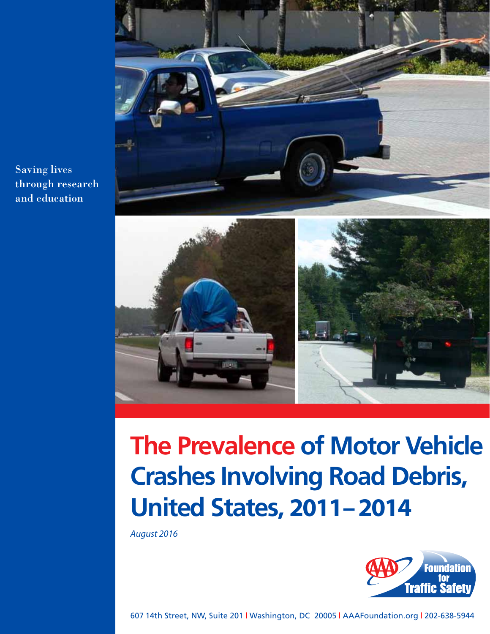

Saving lives through research and education

# **The Prevalence of Motor Vehicle Crashes Involving Road Debris, United States, 2011– 2014**

August 2016



607 14th Street, NW, Suite 201 | Washington, DC 20005 | AAAFoundation.org | 202-638-5944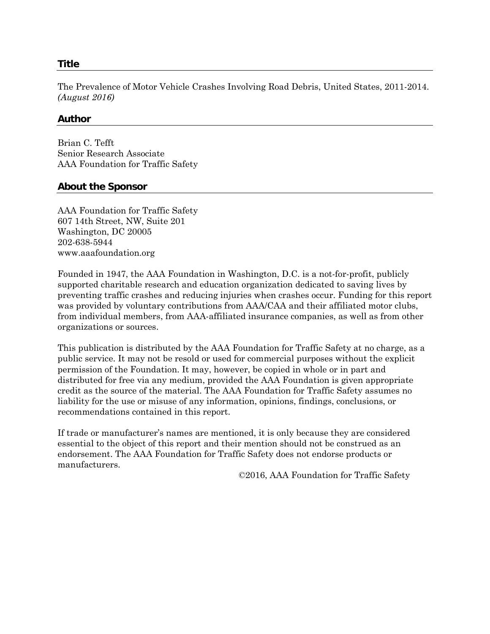#### **Title**

The Prevalence of Motor Vehicle Crashes Involving Road Debris, United States, 2011-2014. *(August 2016)*

#### **Author**

Brian C. Tefft Senior Research Associate AAA Foundation for Traffic Safety

#### **About the Sponsor**

AAA Foundation for Traffic Safety 607 14th Street, NW, Suite 201 Washington, DC 20005 202-638-5944 www.aaafoundation.org

Founded in 1947, the AAA Foundation in Washington, D.C. is a not-for-profit, publicly supported charitable research and education organization dedicated to saving lives by preventing traffic crashes and reducing injuries when crashes occur. Funding for this report was provided by voluntary contributions from AAA/CAA and their affiliated motor clubs, from individual members, from AAA-affiliated insurance companies, as well as from other organizations or sources.

This publication is distributed by the AAA Foundation for Traffic Safety at no charge, as a public service. It may not be resold or used for commercial purposes without the explicit permission of the Foundation. It may, however, be copied in whole or in part and distributed for free via any medium, provided the AAA Foundation is given appropriate credit as the source of the material. The AAA Foundation for Traffic Safety assumes no liability for the use or misuse of any information, opinions, findings, conclusions, or recommendations contained in this report.

If trade or manufacturer's names are mentioned, it is only because they are considered essential to the object of this report and their mention should not be construed as an endorsement. The AAA Foundation for Traffic Safety does not endorse products or manufacturers.

©2016, AAA Foundation for Traffic Safety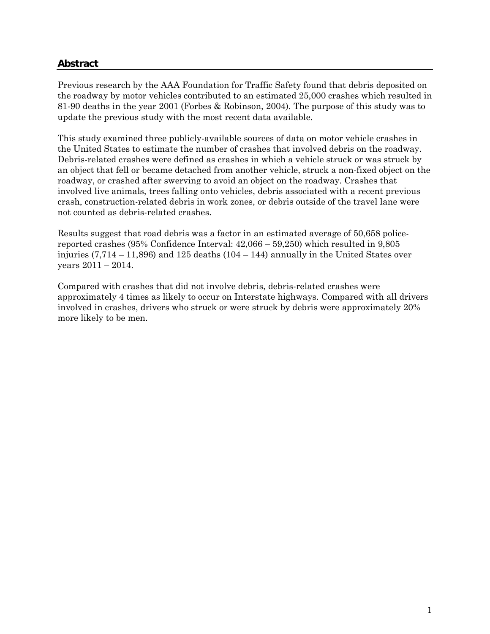## **Abstract**

Previous research by the AAA Foundation for Traffic Safety found that debris deposited on the roadway by motor vehicles contributed to an estimated 25,000 crashes which resulted in 81-90 deaths in the year 2001 (Forbes & Robinson, 2004). The purpose of this study was to update the previous study with the most recent data available.

This study examined three publicly-available sources of data on motor vehicle crashes in the United States to estimate the number of crashes that involved debris on the roadway. Debris-related crashes were defined as crashes in which a vehicle struck or was struck by an object that fell or became detached from another vehicle, struck a non-fixed object on the roadway, or crashed after swerving to avoid an object on the roadway. Crashes that involved live animals, trees falling onto vehicles, debris associated with a recent previous crash, construction-related debris in work zones, or debris outside of the travel lane were not counted as debris-related crashes.

Results suggest that road debris was a factor in an estimated average of 50,658 policereported crashes (95% Confidence Interval: 42,066 – 59,250) which resulted in 9,805 injuries  $(7.714 - 11.896)$  and  $125$  deaths  $(104 - 144)$  annually in the United States over years  $2011 - 2014$ .

Compared with crashes that did not involve debris, debris-related crashes were approximately 4 times as likely to occur on Interstate highways. Compared with all drivers involved in crashes, drivers who struck or were struck by debris were approximately 20% more likely to be men.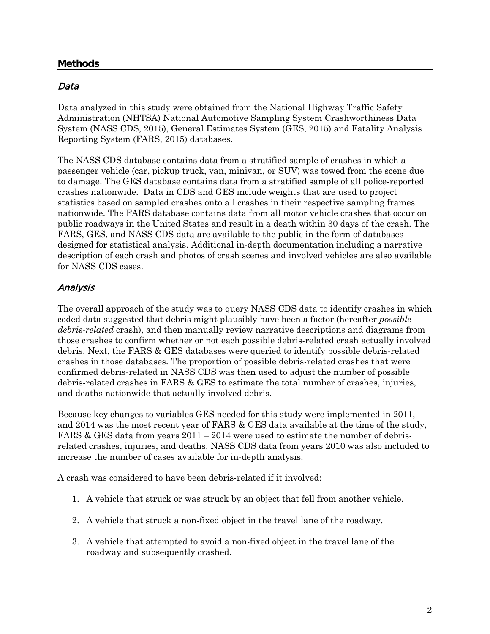## **Methods**

### Data

Data analyzed in this study were obtained from the National Highway Traffic Safety Administration (NHTSA) National Automotive Sampling System Crashworthiness Data System (NASS CDS, 2015), General Estimates System (GES, 2015) and Fatality Analysis Reporting System (FARS, 2015) databases.

The NASS CDS database contains data from a stratified sample of crashes in which a passenger vehicle (car, pickup truck, van, minivan, or SUV) was towed from the scene due to damage. The GES database contains data from a stratified sample of all police-reported crashes nationwide. Data in CDS and GES include weights that are used to project statistics based on sampled crashes onto all crashes in their respective sampling frames nationwide. The FARS database contains data from all motor vehicle crashes that occur on public roadways in the United States and result in a death within 30 days of the crash. The FARS, GES, and NASS CDS data are available to the public in the form of databases designed for statistical analysis. Additional in-depth documentation including a narrative description of each crash and photos of crash scenes and involved vehicles are also available for NASS CDS cases.

#### Analysis

The overall approach of the study was to query NASS CDS data to identify crashes in which coded data suggested that debris might plausibly have been a factor (hereafter *possible debris-related* crash), and then manually review narrative descriptions and diagrams from those crashes to confirm whether or not each possible debris-related crash actually involved debris. Next, the FARS & GES databases were queried to identify possible debris-related crashes in those databases. The proportion of possible debris-related crashes that were confirmed debris-related in NASS CDS was then used to adjust the number of possible debris-related crashes in FARS & GES to estimate the total number of crashes, injuries, and deaths nationwide that actually involved debris.

Because key changes to variables GES needed for this study were implemented in 2011, and 2014 was the most recent year of FARS & GES data available at the time of the study, FARS & GES data from years 2011 – 2014 were used to estimate the number of debrisrelated crashes, injuries, and deaths. NASS CDS data from years 2010 was also included to increase the number of cases available for in-depth analysis.

A crash was considered to have been debris-related if it involved:

- 1. A vehicle that struck or was struck by an object that fell from another vehicle.
- 2. A vehicle that struck a non-fixed object in the travel lane of the roadway.
- 3. A vehicle that attempted to avoid a non-fixed object in the travel lane of the roadway and subsequently crashed.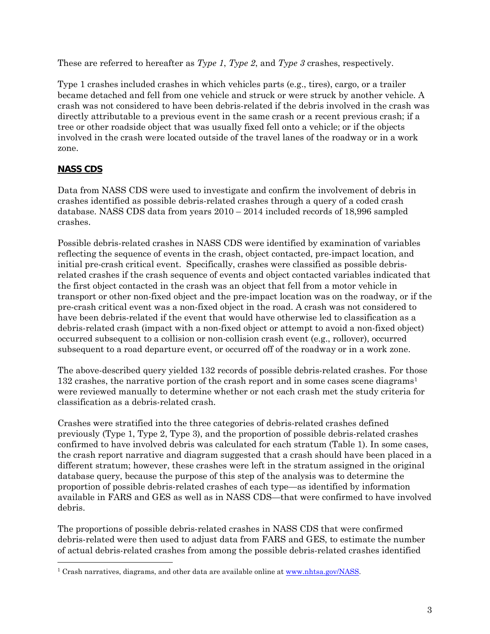These are referred to hereafter as *Type 1*, *Type 2*, and *Type 3* crashes, respectively.

Type 1 crashes included crashes in which vehicles parts (e.g., tires), cargo, or a trailer became detached and fell from one vehicle and struck or were struck by another vehicle. A crash was not considered to have been debris-related if the debris involved in the crash was directly attributable to a previous event in the same crash or a recent previous crash; if a tree or other roadside object that was usually fixed fell onto a vehicle; or if the objects involved in the crash were located outside of the travel lanes of the roadway or in a work zone.

# **NASS CDS**

 $\overline{a}$ 

Data from NASS CDS were used to investigate and confirm the involvement of debris in crashes identified as possible debris-related crashes through a query of a coded crash database. NASS CDS data from years 2010 – 2014 included records of 18,996 sampled crashes.

Possible debris-related crashes in NASS CDS were identified by examination of variables reflecting the sequence of events in the crash, object contacted, pre-impact location, and initial pre-crash critical event. Specifically, crashes were classified as possible debrisrelated crashes if the crash sequence of events and object contacted variables indicated that the first object contacted in the crash was an object that fell from a motor vehicle in transport or other non-fixed object and the pre-impact location was on the roadway, or if the pre-crash critical event was a non-fixed object in the road. A crash was not considered to have been debris-related if the event that would have otherwise led to classification as a debris-related crash (impact with a non-fixed object or attempt to avoid a non-fixed object) occurred subsequent to a collision or non-collision crash event (e.g., rollover), occurred subsequent to a road departure event, or occurred off of the roadway or in a work zone.

The above-described query yielded 132 records of possible debris-related crashes. For those [1](#page-4-0)32 crashes, the narrative portion of the crash report and in some cases scene diagrams<sup>1</sup> were reviewed manually to determine whether or not each crash met the study criteria for classification as a debris-related crash.

Crashes were stratified into the three categories of debris-related crashes defined previously (Type 1, Type 2, Type 3), and the proportion of possible debris-related crashes confirmed to have involved debris was calculated for each stratum (Table 1). In some cases, the crash report narrative and diagram suggested that a crash should have been placed in a different stratum; however, these crashes were left in the stratum assigned in the original database query, because the purpose of this step of the analysis was to determine the proportion of possible debris-related crashes of each type—as identified by information available in FARS and GES as well as in NASS CDS—that were confirmed to have involved debris.

The proportions of possible debris-related crashes in NASS CDS that were confirmed debris-related were then used to adjust data from FARS and GES, to estimate the number of actual debris-related crashes from among the possible debris-related crashes identified

<span id="page-4-0"></span><sup>&</sup>lt;sup>1</sup> Crash narratives, diagrams, and other data are available online at [www.nhtsa.gov/NASS.](http://www.nhtsa.gov/NASS)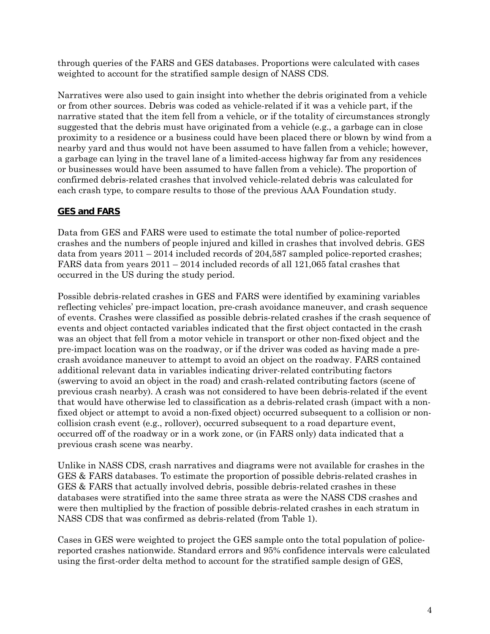through queries of the FARS and GES databases. Proportions were calculated with cases weighted to account for the stratified sample design of NASS CDS.

Narratives were also used to gain insight into whether the debris originated from a vehicle or from other sources. Debris was coded as vehicle-related if it was a vehicle part, if the narrative stated that the item fell from a vehicle, or if the totality of circumstances strongly suggested that the debris must have originated from a vehicle (e.g., a garbage can in close proximity to a residence or a business could have been placed there or blown by wind from a nearby yard and thus would not have been assumed to have fallen from a vehicle; however, a garbage can lying in the travel lane of a limited-access highway far from any residences or businesses would have been assumed to have fallen from a vehicle). The proportion of confirmed debris-related crashes that involved vehicle-related debris was calculated for each crash type, to compare results to those of the previous AAA Foundation study.

# **GES and FARS**

Data from GES and FARS were used to estimate the total number of police-reported crashes and the numbers of people injured and killed in crashes that involved debris. GES data from years 2011 – 2014 included records of 204,587 sampled police-reported crashes; FARS data from years 2011 – 2014 included records of all 121,065 fatal crashes that occurred in the US during the study period.

Possible debris-related crashes in GES and FARS were identified by examining variables reflecting vehicles' pre-impact location, pre-crash avoidance maneuver, and crash sequence of events. Crashes were classified as possible debris-related crashes if the crash sequence of events and object contacted variables indicated that the first object contacted in the crash was an object that fell from a motor vehicle in transport or other non-fixed object and the pre-impact location was on the roadway, or if the driver was coded as having made a precrash avoidance maneuver to attempt to avoid an object on the roadway. FARS contained additional relevant data in variables indicating driver-related contributing factors (swerving to avoid an object in the road) and crash-related contributing factors (scene of previous crash nearby). A crash was not considered to have been debris-related if the event that would have otherwise led to classification as a debris-related crash (impact with a nonfixed object or attempt to avoid a non-fixed object) occurred subsequent to a collision or noncollision crash event (e.g., rollover), occurred subsequent to a road departure event, occurred off of the roadway or in a work zone, or (in FARS only) data indicated that a previous crash scene was nearby.

Unlike in NASS CDS, crash narratives and diagrams were not available for crashes in the GES & FARS databases. To estimate the proportion of possible debris-related crashes in GES & FARS that actually involved debris, possible debris-related crashes in these databases were stratified into the same three strata as were the NASS CDS crashes and were then multiplied by the fraction of possible debris-related crashes in each stratum in NASS CDS that was confirmed as debris-related (from Table 1).

Cases in GES were weighted to project the GES sample onto the total population of policereported crashes nationwide. Standard errors and 95% confidence intervals were calculated using the first-order delta method to account for the stratified sample design of GES,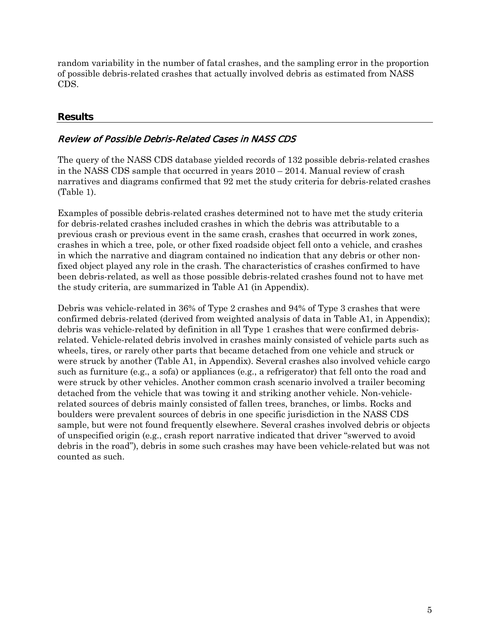random variability in the number of fatal crashes, and the sampling error in the proportion of possible debris-related crashes that actually involved debris as estimated from NASS CDS.

## **Results**

## Review of Possible Debris-Related Cases in NASS CDS

The query of the NASS CDS database yielded records of 132 possible debris-related crashes in the NASS CDS sample that occurred in years 2010 – 2014. Manual review of crash narratives and diagrams confirmed that 92 met the study criteria for debris-related crashes (Table 1).

Examples of possible debris-related crashes determined not to have met the study criteria for debris-related crashes included crashes in which the debris was attributable to a previous crash or previous event in the same crash, crashes that occurred in work zones, crashes in which a tree, pole, or other fixed roadside object fell onto a vehicle, and crashes in which the narrative and diagram contained no indication that any debris or other nonfixed object played any role in the crash. The characteristics of crashes confirmed to have been debris-related, as well as those possible debris-related crashes found not to have met the study criteria, are summarized in Table A1 (in Appendix).

Debris was vehicle-related in 36% of Type 2 crashes and 94% of Type 3 crashes that were confirmed debris-related (derived from weighted analysis of data in Table A1, in Appendix); debris was vehicle-related by definition in all Type 1 crashes that were confirmed debrisrelated. Vehicle-related debris involved in crashes mainly consisted of vehicle parts such as wheels, tires, or rarely other parts that became detached from one vehicle and struck or were struck by another (Table A1, in Appendix). Several crashes also involved vehicle cargo such as furniture (e.g., a sofa) or appliances (e.g., a refrigerator) that fell onto the road and were struck by other vehicles. Another common crash scenario involved a trailer becoming detached from the vehicle that was towing it and striking another vehicle. Non-vehiclerelated sources of debris mainly consisted of fallen trees, branches, or limbs. Rocks and boulders were prevalent sources of debris in one specific jurisdiction in the NASS CDS sample, but were not found frequently elsewhere. Several crashes involved debris or objects of unspecified origin (e.g., crash report narrative indicated that driver "swerved to avoid debris in the road"), debris in some such crashes may have been vehicle-related but was not counted as such.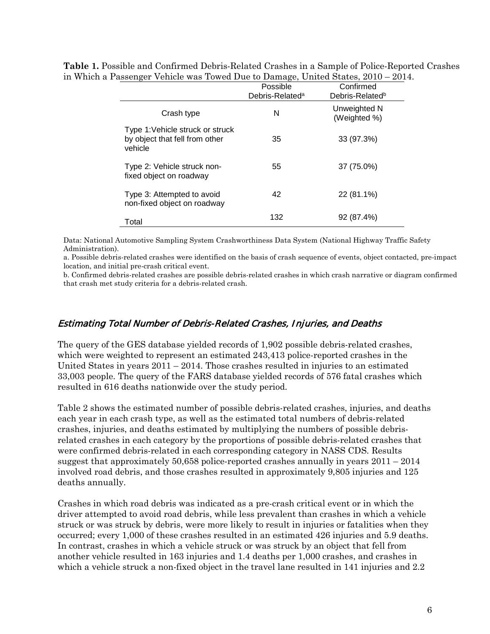| $\frac{1}{2}$                                                                 |                                         |                                          |  |
|-------------------------------------------------------------------------------|-----------------------------------------|------------------------------------------|--|
|                                                                               | Possible<br>Debris-Related <sup>a</sup> | Confirmed<br>Debris-Related <sup>b</sup> |  |
| Crash type                                                                    | N                                       | Unweighted N<br>(Weighted %)             |  |
| Type 1: Vehicle struck or struck<br>by object that fell from other<br>vehicle | 35                                      | 33 (97.3%)                               |  |
| Type 2: Vehicle struck non-<br>fixed object on roadway                        | 55                                      | 37 (75.0%)                               |  |
| Type 3: Attempted to avoid<br>non-fixed object on roadway                     | 42                                      | 22 (81.1%)                               |  |
| Total                                                                         | 132                                     | 92 (87.4%)                               |  |

**Table 1.** Possible and Confirmed Debris-Related Crashes in a Sample of Police-Reported Crashes in Which a Passenger Vehicle was Towed Due to Damage, United States, 2010 – 2014.

Data: National Automotive Sampling System Crashworthiness Data System (National Highway Traffic Safety Administration).

a. Possible debris-related crashes were identified on the basis of crash sequence of events, object contacted, pre-impact location, and initial pre-crash critical event.

b. Confirmed debris-related crashes are possible debris-related crashes in which crash narrative or diagram confirmed that crash met study criteria for a debris-related crash.

## Estimating Total Number of Debris-Related Crashes, Injuries, and Deaths

The query of the GES database yielded records of 1,902 possible debris-related crashes, which were weighted to represent an estimated 243,413 police-reported crashes in the United States in years  $2011 - 2014$ . Those crashes resulted in injuries to an estimated 33,003 people. The query of the FARS database yielded records of 576 fatal crashes which resulted in 616 deaths nationwide over the study period.

Table 2 shows the estimated number of possible debris-related crashes, injuries, and deaths each year in each crash type, as well as the estimated total numbers of debris-related crashes, injuries, and deaths estimated by multiplying the numbers of possible debrisrelated crashes in each category by the proportions of possible debris-related crashes that were confirmed debris-related in each corresponding category in NASS CDS. Results suggest that approximately 50,658 police-reported crashes annually in years 2011 – 2014 involved road debris, and those crashes resulted in approximately 9,805 injuries and 125 deaths annually.

Crashes in which road debris was indicated as a pre-crash critical event or in which the driver attempted to avoid road debris, while less prevalent than crashes in which a vehicle struck or was struck by debris, were more likely to result in injuries or fatalities when they occurred; every 1,000 of these crashes resulted in an estimated 426 injuries and 5.9 deaths. In contrast, crashes in which a vehicle struck or was struck by an object that fell from another vehicle resulted in 163 injuries and 1.4 deaths per 1,000 crashes, and crashes in which a vehicle struck a non-fixed object in the travel lane resulted in 141 injuries and 2.2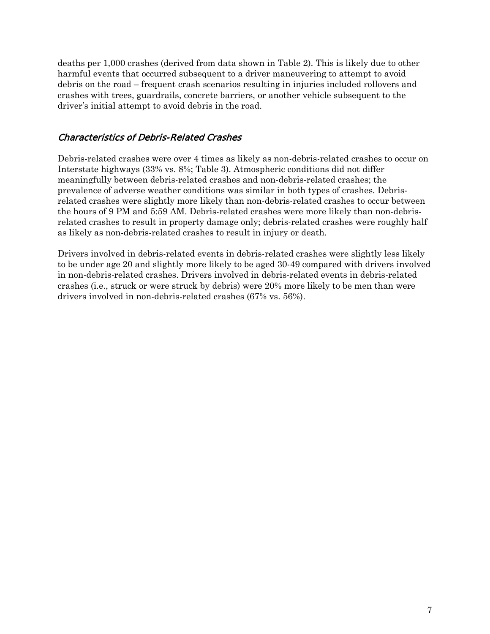deaths per 1,000 crashes (derived from data shown in Table 2). This is likely due to other harmful events that occurred subsequent to a driver maneuvering to attempt to avoid debris on the road – frequent crash scenarios resulting in injuries included rollovers and crashes with trees, guardrails, concrete barriers, or another vehicle subsequent to the driver's initial attempt to avoid debris in the road.

## Characteristics of Debris-Related Crashes

Debris-related crashes were over 4 times as likely as non-debris-related crashes to occur on Interstate highways (33% vs. 8%; Table 3). Atmospheric conditions did not differ meaningfully between debris-related crashes and non-debris-related crashes; the prevalence of adverse weather conditions was similar in both types of crashes. Debrisrelated crashes were slightly more likely than non-debris-related crashes to occur between the hours of 9 PM and 5:59 AM. Debris-related crashes were more likely than non-debrisrelated crashes to result in property damage only; debris-related crashes were roughly half as likely as non-debris-related crashes to result in injury or death.

Drivers involved in debris-related events in debris-related crashes were slightly less likely to be under age 20 and slightly more likely to be aged 30-49 compared with drivers involved in non-debris-related crashes. Drivers involved in debris-related events in debris-related crashes (i.e., struck or were struck by debris) were 20% more likely to be men than were drivers involved in non-debris-related crashes (67% vs. 56%).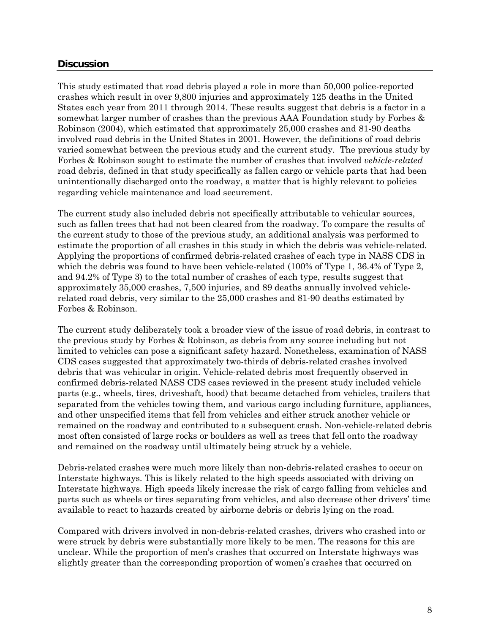#### **Discussion**

This study estimated that road debris played a role in more than 50,000 police-reported crashes which result in over 9,800 injuries and approximately 125 deaths in the United States each year from 2011 through 2014. These results suggest that debris is a factor in a somewhat larger number of crashes than the previous AAA Foundation study by Forbes & Robinson (2004), which estimated that approximately 25,000 crashes and 81-90 deaths involved road debris in the United States in 2001. However, the definitions of road debris varied somewhat between the previous study and the current study. The previous study by Forbes & Robinson sought to estimate the number of crashes that involved *vehicle-related*  road debris, defined in that study specifically as fallen cargo or vehicle parts that had been unintentionally discharged onto the roadway, a matter that is highly relevant to policies regarding vehicle maintenance and load securement.

The current study also included debris not specifically attributable to vehicular sources, such as fallen trees that had not been cleared from the roadway. To compare the results of the current study to those of the previous study, an additional analysis was performed to estimate the proportion of all crashes in this study in which the debris was vehicle-related. Applying the proportions of confirmed debris-related crashes of each type in NASS CDS in which the debris was found to have been vehicle-related (100% of Type 1, 36.4% of Type 2, and 94.2% of Type 3) to the total number of crashes of each type, results suggest that approximately 35,000 crashes, 7,500 injuries, and 89 deaths annually involved vehiclerelated road debris, very similar to the 25,000 crashes and 81-90 deaths estimated by Forbes & Robinson.

The current study deliberately took a broader view of the issue of road debris, in contrast to the previous study by Forbes & Robinson, as debris from any source including but not limited to vehicles can pose a significant safety hazard. Nonetheless, examination of NASS CDS cases suggested that approximately two-thirds of debris-related crashes involved debris that was vehicular in origin. Vehicle-related debris most frequently observed in confirmed debris-related NASS CDS cases reviewed in the present study included vehicle parts (e.g., wheels, tires, driveshaft, hood) that became detached from vehicles, trailers that separated from the vehicles towing them, and various cargo including furniture, appliances, and other unspecified items that fell from vehicles and either struck another vehicle or remained on the roadway and contributed to a subsequent crash. Non-vehicle-related debris most often consisted of large rocks or boulders as well as trees that fell onto the roadway and remained on the roadway until ultimately being struck by a vehicle.

Debris-related crashes were much more likely than non-debris-related crashes to occur on Interstate highways. This is likely related to the high speeds associated with driving on Interstate highways. High speeds likely increase the risk of cargo falling from vehicles and parts such as wheels or tires separating from vehicles, and also decrease other drivers' time available to react to hazards created by airborne debris or debris lying on the road.

Compared with drivers involved in non-debris-related crashes, drivers who crashed into or were struck by debris were substantially more likely to be men. The reasons for this are unclear. While the proportion of men's crashes that occurred on Interstate highways was slightly greater than the corresponding proportion of women's crashes that occurred on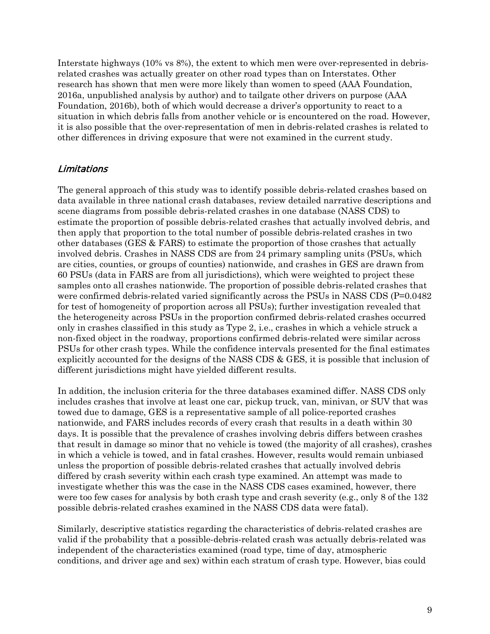Interstate highways (10% vs 8%), the extent to which men were over-represented in debrisrelated crashes was actually greater on other road types than on Interstates. Other research has shown that men were more likely than women to speed (AAA Foundation, 2016a, unpublished analysis by author) and to tailgate other drivers on purpose (AAA Foundation, 2016b), both of which would decrease a driver's opportunity to react to a situation in which debris falls from another vehicle or is encountered on the road. However, it is also possible that the over-representation of men in debris-related crashes is related to other differences in driving exposure that were not examined in the current study.

## Limitations

The general approach of this study was to identify possible debris-related crashes based on data available in three national crash databases, review detailed narrative descriptions and scene diagrams from possible debris-related crashes in one database (NASS CDS) to estimate the proportion of possible debris-related crashes that actually involved debris, and then apply that proportion to the total number of possible debris-related crashes in two other databases (GES & FARS) to estimate the proportion of those crashes that actually involved debris. Crashes in NASS CDS are from 24 primary sampling units (PSUs, which are cities, counties, or groups of counties) nationwide, and crashes in GES are drawn from 60 PSUs (data in FARS are from all jurisdictions), which were weighted to project these samples onto all crashes nationwide. The proportion of possible debris-related crashes that were confirmed debris-related varied significantly across the PSUs in NASS CDS (P=0.0482) for test of homogeneity of proportion across all PSUs); further investigation revealed that the heterogeneity across PSUs in the proportion confirmed debris-related crashes occurred only in crashes classified in this study as Type 2, i.e., crashes in which a vehicle struck a non-fixed object in the roadway, proportions confirmed debris-related were similar across PSUs for other crash types. While the confidence intervals presented for the final estimates explicitly accounted for the designs of the NASS CDS & GES, it is possible that inclusion of different jurisdictions might have yielded different results.

In addition, the inclusion criteria for the three databases examined differ. NASS CDS only includes crashes that involve at least one car, pickup truck, van, minivan, or SUV that was towed due to damage, GES is a representative sample of all police-reported crashes nationwide, and FARS includes records of every crash that results in a death within 30 days. It is possible that the prevalence of crashes involving debris differs between crashes that result in damage so minor that no vehicle is towed (the majority of all crashes), crashes in which a vehicle is towed, and in fatal crashes. However, results would remain unbiased unless the proportion of possible debris-related crashes that actually involved debris differed by crash severity within each crash type examined. An attempt was made to investigate whether this was the case in the NASS CDS cases examined, however, there were too few cases for analysis by both crash type and crash severity (e.g., only 8 of the 132 possible debris-related crashes examined in the NASS CDS data were fatal).

Similarly, descriptive statistics regarding the characteristics of debris-related crashes are valid if the probability that a possible-debris-related crash was actually debris-related was independent of the characteristics examined (road type, time of day, atmospheric conditions, and driver age and sex) within each stratum of crash type. However, bias could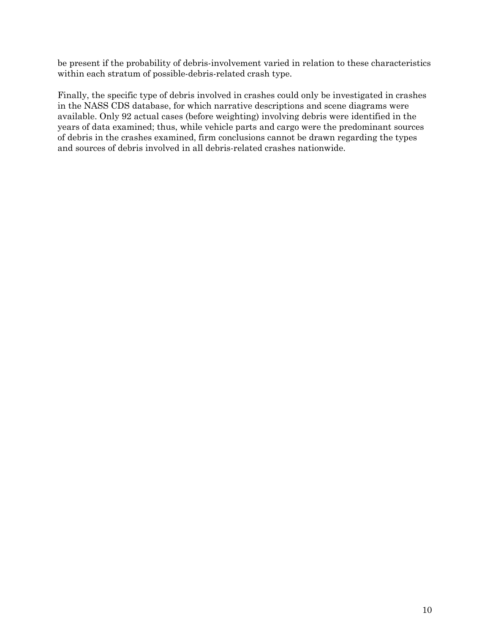be present if the probability of debris-involvement varied in relation to these characteristics within each stratum of possible-debris-related crash type.

Finally, the specific type of debris involved in crashes could only be investigated in crashes in the NASS CDS database, for which narrative descriptions and scene diagrams were available. Only 92 actual cases (before weighting) involving debris were identified in the years of data examined; thus, while vehicle parts and cargo were the predominant sources of debris in the crashes examined, firm conclusions cannot be drawn regarding the types and sources of debris involved in all debris-related crashes nationwide.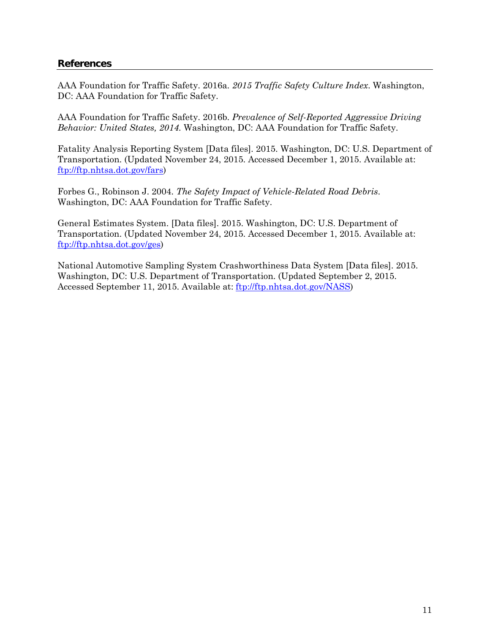### **References**

AAA Foundation for Traffic Safety. 2016a. *2015 Traffic Safety Culture Index*. Washington, DC: AAA Foundation for Traffic Safety.

AAA Foundation for Traffic Safety. 2016b. *Prevalence of Self-Reported Aggressive Driving Behavior: United States, 2014*. Washington, DC: AAA Foundation for Traffic Safety.

Fatality Analysis Reporting System [Data files]. 2015. Washington, DC: U.S. Department of Transportation. (Updated November 24, 2015. Accessed December 1, 2015. Available at: [ftp://ftp.nhtsa.dot.gov/fars\)](ftp://ftp.nhtsa.dot.gov/fars)

Forbes G., Robinson J. 2004. *The Safety Impact of Vehicle-Related Road Debris*. Washington, DC: AAA Foundation for Traffic Safety.

General Estimates System. [Data files]. 2015. Washington, DC: U.S. Department of Transportation. (Updated November 24, 2015. Accessed December 1, 2015. Available at: [ftp://ftp.nhtsa.dot.gov/ges\)](ftp://ftp.nhtsa.dot.gov/ges)

National Automotive Sampling System Crashworthiness Data System [Data files]. 2015. Washington, DC: U.S. Department of Transportation. (Updated September 2, 2015. Accessed September 11, 2015. Available at: [ftp://ftp.nhtsa.dot.gov/NASS\)](ftp://ftp.nhtsa.dot.gov/NASS)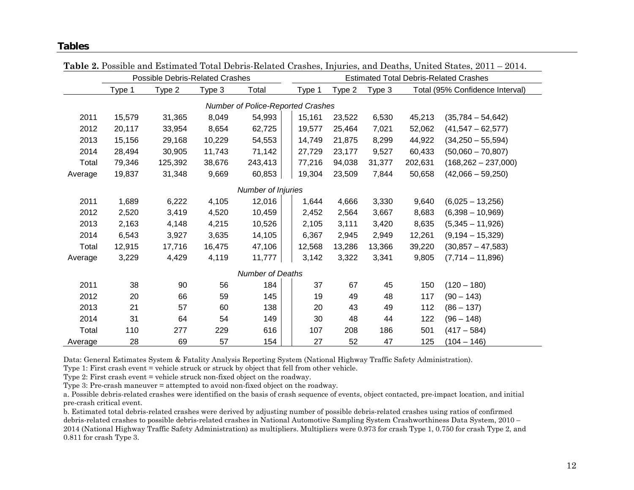#### **Tables**

|                    |        | <b>Possible Debris-Related Crashes</b> |        |                                   |        |        |        |         | <b>Estimated Total Debris-Related Crashes</b> |
|--------------------|--------|----------------------------------------|--------|-----------------------------------|--------|--------|--------|---------|-----------------------------------------------|
|                    | Type 1 | Type 2                                 | Type 3 | Total                             | Type 1 | Type 2 | Type 3 |         | Total (95% Confidence Interval)               |
|                    |        |                                        |        | Number of Police-Reported Crashes |        |        |        |         |                                               |
| 2011               | 15,579 | 31,365                                 | 8,049  | 54,993                            | 15,161 | 23,522 | 6,530  | 45,213  | $(35,784 - 54,642)$                           |
| 2012               | 20,117 | 33,954                                 | 8,654  | 62,725                            | 19,577 | 25,464 | 7,021  | 52,062  | $(41,547 - 62,577)$                           |
| 2013               | 15,156 | 29,168                                 | 10,229 | 54,553                            | 14,749 | 21,875 | 8,299  | 44,922  | $(34,250 - 55,594)$                           |
| 2014               | 28,494 | 30,905                                 | 11,743 | 71,142                            | 27,729 | 23,177 | 9,527  | 60,433  | $(50,060 - 70,807)$                           |
| Total              | 79,346 | 125,392                                | 38,676 | 243,413                           | 77,216 | 94,038 | 31,377 | 202,631 | $(168, 262 - 237, 000)$                       |
| Average            | 19,837 | 31,348                                 | 9,669  | 60,853                            | 19,304 | 23,509 | 7,844  | 50,658  | $(42,066 - 59,250)$                           |
| Number of Injuries |        |                                        |        |                                   |        |        |        |         |                                               |
| 2011               | 1,689  | 6,222                                  | 4,105  | 12,016                            | 1,644  | 4,666  | 3,330  | 9,640   | $(6,025 - 13,256)$                            |
| 2012               | 2,520  | 3,419                                  | 4,520  | 10,459                            | 2,452  | 2,564  | 3,667  | 8,683   | $(6,398 - 10,969)$                            |
| 2013               | 2,163  | 4,148                                  | 4,215  | 10,526                            | 2,105  | 3,111  | 3,420  | 8,635   | $(5,345 - 11,926)$                            |
| 2014               | 6,543  | 3,927                                  | 3,635  | 14,105                            | 6,367  | 2,945  | 2,949  | 12,261  | $(9, 194 - 15, 329)$                          |
| Total              | 12,915 | 17,716                                 | 16,475 | 47,106                            | 12,568 | 13,286 | 13,366 | 39,220  | $(30, 857 - 47, 583)$                         |
| Average            | 3,229  | 4,429                                  | 4,119  | 11,777                            | 3,142  | 3,322  | 3,341  | 9,805   | $(7,714 - 11,896)$                            |
| Number of Deaths   |        |                                        |        |                                   |        |        |        |         |                                               |
| 2011               | 38     | 90                                     | 56     | 184                               | 37     | 67     | 45     | 150     | $(120 - 180)$                                 |
| 2012               | 20     | 66                                     | 59     | 145                               | 19     | 49     | 48     | 117     | $(90 - 143)$                                  |
| 2013               | 21     | 57                                     | 60     | 138                               | 20     | 43     | 49     | 112     | $(86 - 137)$                                  |
| 2014               | 31     | 64                                     | 54     | 149                               | 30     | 48     | 44     | 122     | $(96 - 148)$                                  |
| Total              | 110    | 277                                    | 229    | 616                               | 107    | 208    | 186    | 501     | $(417 - 584)$                                 |
| Average            | 28     | 69                                     | 57     | 154                               | 27     | 52     | 47     | 125     | $(104 - 146)$                                 |

**Table 2.** Possible and Estimated Total Debris-Related Crashes, Injuries, and Deaths, United States, 2011 – 2014.

Data: General Estimates System & Fatality Analysis Reporting System (National Highway Traffic Safety Administration).

Type 1: First crash event = vehicle struck or struck by object that fell from other vehicle.

Type 2: First crash event = vehicle struck non-fixed object on the roadway.

Type 3: Pre-crash maneuver = attempted to avoid non-fixed object on the roadway.

a. Possible debris-related crashes were identified on the basis of crash sequence of events, object contacted, pre-impact location, and initial pre-crash critical event.

b. Estimated total debris-related crashes were derived by adjusting number of possible debris-related crashes using ratios of confirmed debris-related crashes to possible debris-related crashes in National Automotive Sampling System Crashworthiness Data System, 2010 – 2014 (National Highway Traffic Safety Administration) as multipliers. Multipliers were 0.973 for crash Type 1, 0.750 for crash Type 2, and 0.811 for crash Type 3.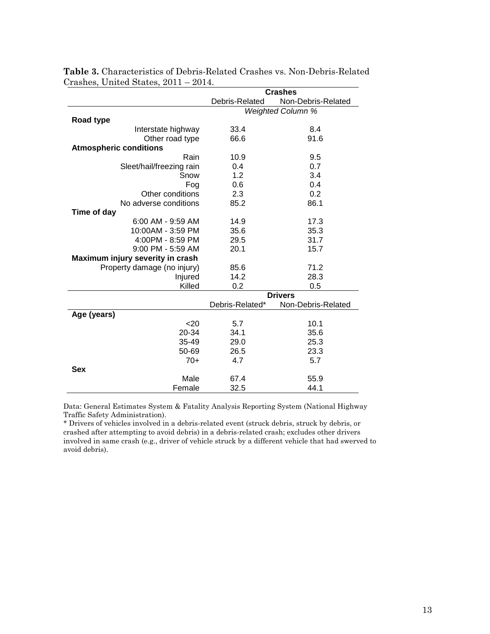|                                  | <b>Crashes</b>  |                          |  |
|----------------------------------|-----------------|--------------------------|--|
|                                  | Debris-Related  | Non-Debris-Related       |  |
|                                  |                 | <b>Weighted Column %</b> |  |
| Road type                        |                 |                          |  |
| Interstate highway               | 33.4            | 8.4                      |  |
| Other road type                  | 66.6            | 91.6                     |  |
| <b>Atmospheric conditions</b>    |                 |                          |  |
| Rain                             | 10.9            | 9.5                      |  |
| Sleet/hail/freezing rain         | 0.4             | 0.7                      |  |
| Snow                             | 1.2             | 3.4                      |  |
| Fog                              | 0.6             | 0.4                      |  |
| Other conditions                 | 2.3             | 0.2                      |  |
| No adverse conditions            | 85.2            | 86.1                     |  |
| Time of day                      |                 |                          |  |
| 6:00 AM - 9:59 AM                | 14.9            | 17.3                     |  |
| 10:00AM - 3:59 PM                | 35.6            | 35.3                     |  |
| 4:00PM - 8:59 PM                 | 29.5            | 31.7                     |  |
| $9:00$ PM - 5:59 AM              | 20.1            | 15.7                     |  |
| Maximum injury severity in crash |                 |                          |  |
| Property damage (no injury)      | 85.6            | 71.2                     |  |
| Injured                          | 14.2            | 28.3                     |  |
| Killed                           | 0.2             | 0.5                      |  |
|                                  |                 | <b>Drivers</b>           |  |
|                                  | Debris-Related* | Non-Debris-Related       |  |
| Age (years)                      |                 |                          |  |
| $20$                             | 5.7             | 10.1                     |  |
| 20-34                            | 34.1            | 35.6                     |  |
| $35 - 49$                        | 29.0            | 25.3                     |  |
| 50-69                            | 26.5            | 23.3                     |  |
| $70+$                            | 4.7             | 5.7                      |  |
| <b>Sex</b>                       |                 |                          |  |
| Male                             | 67.4            | 55.9                     |  |
| Female                           | 32.5            | 44.1                     |  |

**Table 3.** Characteristics of Debris-Related Crashes vs. Non-Debris-Related Crashes, United States, 2011 – 2014.

Data: General Estimates System & Fatality Analysis Reporting System (National Highway Traffic Safety Administration).

\* Drivers of vehicles involved in a debris-related event (struck debris, struck by debris, or crashed after attempting to avoid debris) in a debris-related crash; excludes other drivers involved in same crash (e.g., driver of vehicle struck by a different vehicle that had swerved to avoid debris).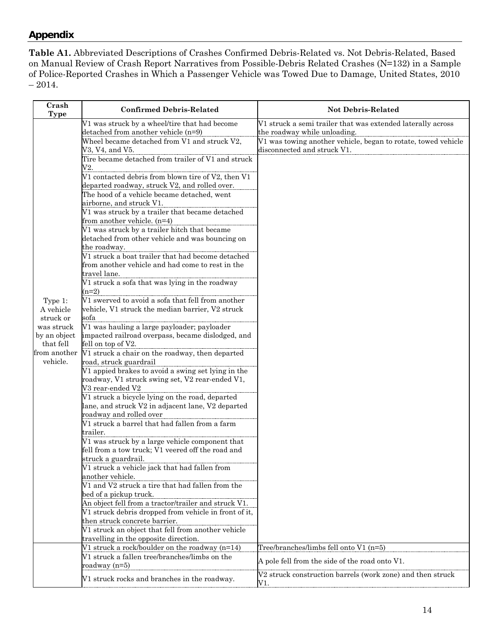# **Appendix**

**Table A1.** Abbreviated Descriptions of Crashes Confirmed Debris-Related vs. Not Debris-Related, Based on Manual Review of Crash Report Narratives from Possible-Debris Related Crashes (N=132) in a Sample of Police-Reported Crashes in Which a Passenger Vehicle was Towed Due to Damage, United States, 2010  $-2014.$ 

| Crash<br><b>Type</b> | <b>Confirmed Debris-Related</b>                                | <b>Not Debris-Related</b>                                     |
|----------------------|----------------------------------------------------------------|---------------------------------------------------------------|
|                      | V1 was struck by a wheel/tire that had become                  | V1 struck a semi trailer that was extended laterally across   |
|                      | detached from another vehicle (n=9)                            | the roadway while unloading.                                  |
|                      | Wheel became detached from V1 and struck V2,                   | V1 was towing another vehicle, began to rotate, towed vehicle |
|                      | V3, V4, and V5.                                                | disconnected and struck V1.                                   |
|                      | Tire became detached from trailer of V1 and struck             |                                                               |
|                      | V2.                                                            |                                                               |
|                      | V1 contacted debris from blown tire of V2, then V1             |                                                               |
|                      | departed roadway, struck V2, and rolled over.                  |                                                               |
|                      | The hood of a vehicle became detached, went                    |                                                               |
|                      | airborne, and struck V1.                                       |                                                               |
|                      | V1 was struck by a trailer that became detached                |                                                               |
|                      | from another vehicle. (n=4)                                    |                                                               |
|                      | V1 was struck by a trailer hitch that became                   |                                                               |
|                      | detached from other vehicle and was bouncing on                |                                                               |
|                      | the roadway.                                                   |                                                               |
|                      | V1 struck a boat trailer that had become detached              |                                                               |
|                      | from another vehicle and had come to rest in the               |                                                               |
|                      | travel lane.                                                   |                                                               |
|                      | V1 struck a sofa that was lying in the roadway                 |                                                               |
|                      | $(n=2)$<br>V1 swerved to avoid a sofa that fell from another   |                                                               |
| Type 1:<br>A vehicle |                                                                |                                                               |
| struck or            | vehicle, V1 struck the median barrier, V2 struck<br>sofa       |                                                               |
| was struck           | V1 was hauling a large payloader; payloader                    |                                                               |
| by an object         | impacted railroad overpass, became dislodged, and              |                                                               |
| that fell            | fell on top of V2.                                             |                                                               |
| from another         | V1 struck a chair on the roadway, then departed                |                                                               |
| vehicle.             | road, struck guardrail                                         |                                                               |
|                      | V1 appied brakes to avoid a swing set lying in the             |                                                               |
|                      | roadway, V1 struck swing set, V2 rear-ended V1,                |                                                               |
|                      | V3 rear-ended V2                                               |                                                               |
|                      | V1 struck a bicycle lying on the road, departed                |                                                               |
|                      | lane, and struck V2 in adjacent lane, V2 departed              |                                                               |
|                      | roadway and rolled over                                        |                                                               |
|                      | V1 struck a barrel that had fallen from a farm                 |                                                               |
|                      | trailer.                                                       |                                                               |
|                      | V1 was struck by a large vehicle component that                |                                                               |
|                      | fell from a tow truck; V1 veered off the road and              |                                                               |
|                      | struck a guardrail.                                            |                                                               |
|                      | V1 struck a vehicle jack that had fallen from                  |                                                               |
|                      | another vehicle.                                               |                                                               |
|                      | V1 and V2 struck a tire that had fallen from the               |                                                               |
|                      | bed of a pickup truck.                                         |                                                               |
|                      | An object fell from a tractor/trailer and struck V1.           |                                                               |
|                      | V1 struck debris dropped from vehicle in front of it,          |                                                               |
|                      | then struck concrete barrier.                                  |                                                               |
|                      | V1 struck an object that fell from another vehicle             |                                                               |
|                      | travelling in the opposite direction.                          |                                                               |
|                      | V1 struck a rock/boulder on the roadway (n=14)                 | Tree/branches/limbs fell onto V1 (n=5)                        |
|                      | V1 struck a fallen tree/branches/limbs on the<br>roadway (n=5) | A pole fell from the side of the road onto V1.                |
|                      |                                                                | V2 struck construction barrels (work zone) and then struck    |
|                      | V1 struck rocks and branches in the roadway.                   | V1.                                                           |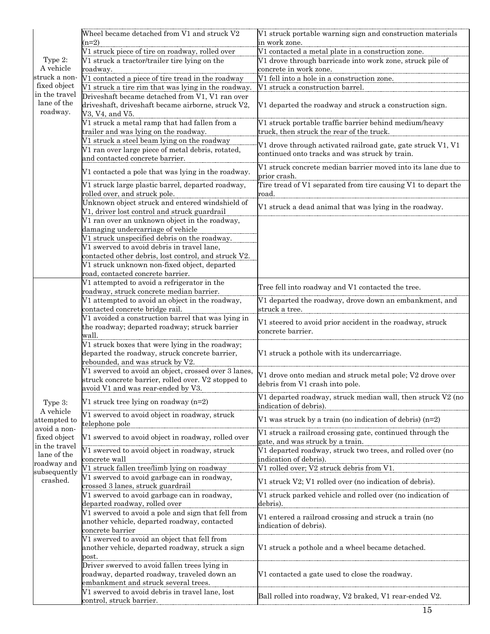|                              | Wheel became detached from V1 and struck V2<br>$(n=2)$                                        | V1 struck portable warning sign and construction materials<br>in work zone.     |
|------------------------------|-----------------------------------------------------------------------------------------------|---------------------------------------------------------------------------------|
|                              | V1 struck piece of tire on roadway, rolled over                                               | V1 contacted a metal plate in a construction zone.                              |
| Type 2:                      | V1 struck a tractor/trailer tire lying on the                                                 | V1 drove through barricade into work zone, struck pile of                       |
| A vehicle                    | roadway.                                                                                      | concrete in work zone.                                                          |
| struck a non-                | V1 contacted a piece of tire tread in the roadway                                             | V1 fell into a hole in a construction zone.                                     |
| fixed object                 | V1 struck a tire rim that was lying in the roadway.                                           | V1 struck a construction barrel.                                                |
| in the travel<br>lane of the | Driveshaft became detached from V1, V1 ran over                                               |                                                                                 |
| roadway.                     | driveshaft, driveshaft became airborne, struck V2,                                            | V1 departed the roadway and struck a construction sign.                         |
|                              | V3, V4, and V5.<br>V1 struck a metal ramp that had fallen from a                              | V1 struck portable traffic barrier behind medium/heavy                          |
|                              | trailer and was lying on the roadway.                                                         | truck, then struck the rear of the truck.                                       |
|                              | V1 struck a steel beam lying on the roadway                                                   |                                                                                 |
|                              | V1 ran over large piece of metal debris, rotated,                                             | V1 drove through activated railroad gate, gate struck V1, V1                    |
|                              | and contacted concrete barrier.                                                               | continued onto tracks and was struck by train.                                  |
|                              | V1 contacted a pole that was lying in the roadway.                                            | V1 struck concrete median barrier moved into its lane due to                    |
|                              |                                                                                               | prior crash.                                                                    |
|                              | V1 struck large plastic barrel, departed roadway,                                             | Tire tread of V1 separated from tire causing V1 to depart the                   |
|                              | rolled over, and struck pole.                                                                 | road.                                                                           |
|                              | Unknown object struck and entered windshield of                                               | V1 struck a dead animal that was lying in the roadway.                          |
|                              | V1, driver lost control and struck guardrail<br>V1 ran over an unknown object in the roadway, |                                                                                 |
|                              | damaging undercarriage of vehicle                                                             |                                                                                 |
|                              | V1 struck unspecified debris on the roadway.                                                  |                                                                                 |
|                              | V1 swerved to avoid debris in travel lane,                                                    |                                                                                 |
|                              | contacted other debris, lost control, and struck V2.                                          |                                                                                 |
|                              | V1 struck unknown non-fixed object, departed                                                  |                                                                                 |
|                              | road, contacted concrete barrier.                                                             |                                                                                 |
|                              | V1 attempted to avoid a refrigerator in the                                                   | Tree fell into roadway and V1 contacted the tree.                               |
|                              | roadway, struck concrete median barrier.                                                      |                                                                                 |
|                              | V1 attempted to avoid an object in the roadway,                                               | V1 departed the roadway, drove down an embankment, and                          |
|                              | contacted concrete bridge rail.<br>V1 avoided a construction barrel that was lying in         | struck a tree.                                                                  |
|                              | the roadway; departed roadway; struck barrier                                                 | V1 steered to avoid prior accident in the roadway, struck                       |
|                              | wall.                                                                                         | concrete barrier.                                                               |
|                              | V1 struck boxes that were lying in the roadway;                                               |                                                                                 |
|                              | departed the roadway, struck concrete barrier,                                                | V1 struck a pothole with its undercarriage.                                     |
|                              | rebounded, and was struck by V2.                                                              |                                                                                 |
|                              | V1 swerved to avoid an object, crossed over 3 lanes,                                          | V1 drove onto median and struck metal pole; V2 drove over                       |
|                              | struck concrete barrier, rolled over. V2 stopped to                                           | debris from V1 crash into pole.                                                 |
|                              | avoid V1 and was rear-ended by V3.                                                            | V1 departed roadway, struck median wall, then struck V2 (no                     |
| Type 3:                      | V1 struck tree lying on roadway (n=2)                                                         | indication of debris).                                                          |
| A vehicle                    | V1 swerved to avoid object in roadway, struck                                                 |                                                                                 |
| attempted to                 | telephone pole                                                                                | V1 was struck by a train (no indication of debris) $(n=2)$                      |
| avoid a non-<br>fixed object | V1 swerved to avoid object in roadway, rolled over                                            | V1 struck a railroad crossing gate, continued through the                       |
| in the travel                |                                                                                               | gate, and was struck by a train.                                                |
| lane of the                  | V1 swerved to avoid object in roadway, struck                                                 | V1 departed roadway, struck two trees, and rolled over (no                      |
| roadway and                  | concrete wall                                                                                 | indication of debris)                                                           |
| subsequently                 | V1 struck fallen tree/limb lying on roadway                                                   | V1 rolled over; V2 struck debris from V1.                                       |
| crashed.                     | V1 swerved to avoid garbage can in roadway,<br>crossed 3 lanes, struck guardrail              | V1 struck V2; V1 rolled over (no indication of debris).                         |
|                              | V1 swerved to avoid garbage can in roadway,                                                   | V1 struck parked vehicle and rolled over (no indication of                      |
|                              | departed roadway, rolled over                                                                 | $debris)$ .                                                                     |
|                              | V1 swerved to avoid a pole and sign that fell from                                            |                                                                                 |
|                              | another vehicle, departed roadway, contacted                                                  | V1 entered a railroad crossing and struck a train (no<br>indication of debris). |
|                              | concrete barrier                                                                              |                                                                                 |
|                              | V1 swerved to avoid an object that fell from                                                  |                                                                                 |
|                              | another vehicle, departed roadway, struck a sign                                              | V1 struck a pothole and a wheel became detached.                                |
|                              | $\operatorname{post.}$<br>Driver swerved to avoid fallen trees lying in                       |                                                                                 |
|                              | roadway, departed roadway, traveled down an                                                   | V1 contacted a gate used to close the roadway.                                  |
|                              | embankment and struck several trees.                                                          |                                                                                 |
|                              | V1 swerved to avoid debris in travel lane, lost                                               |                                                                                 |
|                              | control, struck barrier.                                                                      | Ball rolled into roadway, V2 braked, V1 rear-ended V2.                          |